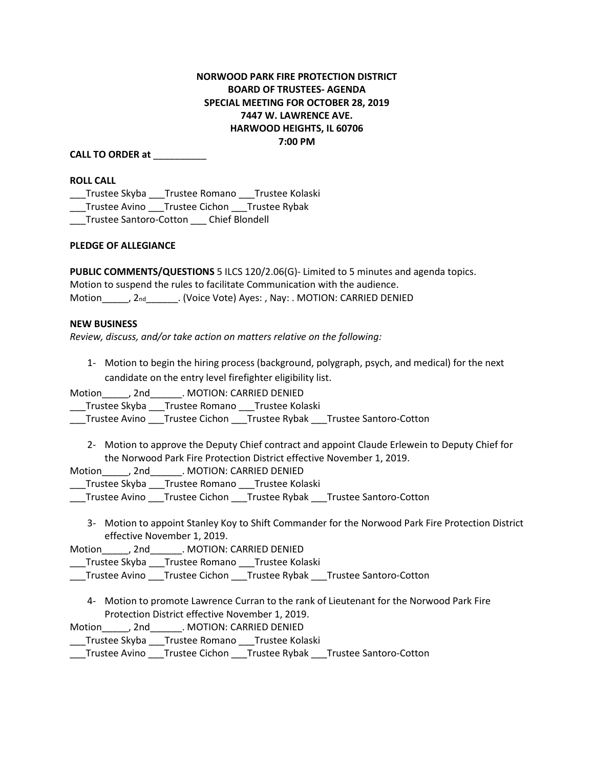# **NORWOOD PARK FIRE PROTECTION DISTRICT BOARD OF TRUSTEES- AGENDA SPECIAL MEETING FOR OCTOBER 28, 2019 7447 W. LAWRENCE AVE. HARWOOD HEIGHTS, IL 60706 7:00 PM**

## **CALL TO ORDER at** \_\_\_\_\_\_\_\_\_\_

#### **ROLL CALL**

\_\_\_Trustee Skyba \_\_\_Trustee Romano \_\_\_Trustee Kolaski \_\_\_Trustee Avino \_\_\_Trustee Cichon \_\_\_Trustee Rybak \_\_\_Trustee Santoro-Cotton \_\_\_ Chief Blondell

#### **PLEDGE OF ALLEGIANCE**

**PUBLIC COMMENTS/QUESTIONS** 5 ILCS 120/2.06(G)- Limited to 5 minutes and agenda topics. Motion to suspend the rules to facilitate Communication with the audience. Motion\_\_\_\_\_, 2nd\_\_\_\_\_\_\_. (Voice Vote) Ayes: , Nay: . MOTION: CARRIED DENIED

#### **NEW BUSINESS**

*Review, discuss, and/or take action on matters relative on the following:* 

1- Motion to begin the hiring process (background, polygraph, psych, and medical) for the next candidate on the entry level firefighter eligibility list.

Motion  $\qquad$ , 2nd  $\qquad$ . MOTION: CARRIED DENIED

Trustee Skyba \_\_\_\_Trustee Romano \_\_\_\_\_Trustee Kolaski

\_\_\_Trustee Avino \_\_\_Trustee Cichon \_\_\_Trustee Rybak \_\_\_Trustee Santoro-Cotton

2- Motion to approve the Deputy Chief contract and appoint Claude Erlewein to Deputy Chief for the Norwood Park Fire Protection District effective November 1, 2019.

Motion diamond and motion and MOTION: CARRIED DENIED

\_\_\_Trustee Skyba \_\_\_Trustee Romano \_\_\_Trustee Kolaski

\_\_\_Trustee Avino \_\_\_Trustee Cichon \_\_\_Trustee Rybak \_\_\_Trustee Santoro-Cotton

3- Motion to appoint Stanley Koy to Shift Commander for the Norwood Park Fire Protection District effective November 1, 2019.

Motion\_\_\_\_\_, 2nd\_\_\_\_\_\_. MOTION: CARRIED DENIED

\_\_\_Trustee Skyba \_\_\_Trustee Romano \_\_\_Trustee Kolaski

\_\_\_Trustee Avino \_\_\_Trustee Cichon \_\_\_Trustee Rybak \_\_\_Trustee Santoro-Cotton

4- Motion to promote Lawrence Curran to the rank of Lieutenant for the Norwood Park Fire Protection District effective November 1, 2019.

Motion\_\_\_\_\_, 2nd\_\_\_\_\_\_. MOTION: CARRIED DENIED

\_\_\_Trustee Skyba \_\_\_Trustee Romano \_\_\_Trustee Kolaski

\_\_\_Trustee Avino \_\_\_Trustee Cichon \_\_\_Trustee Rybak \_\_\_Trustee Santoro-Cotton